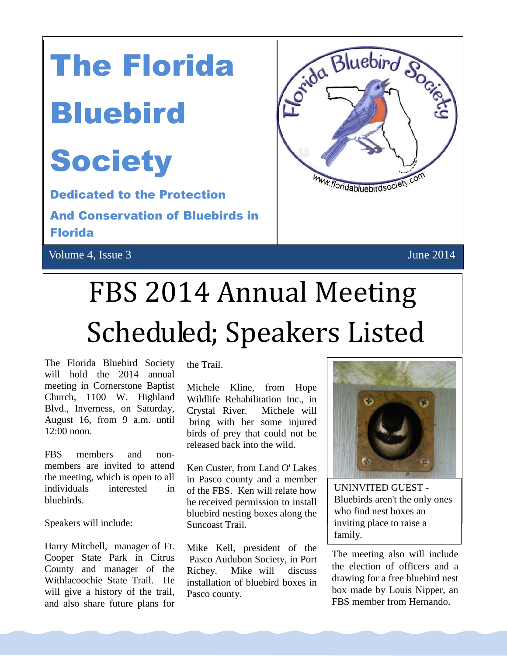# The Florida

### Bluebird

### **Society**

Dedicated to the Protection And Conservation of Bluebirds in Florida

Volume 4, Issue 3 June 2014



## FBS 2014 Annual Meeting Scheduled; Speakers Listed

The Florida Bluebird Society will hold the 2014 annual meeting in Cornerstone Baptist Church, 1100 W. Highland Blvd., Inverness, on Saturday, August 16, from 9 a.m. until 12:00 noon.

FBS members and nonmembers are invited to attend the meeting, which is open to all individuals interested in bluebirds.

Speakers will include:

Harry Mitchell, manager of Ft. Cooper State Park in Citrus County and manager of the Withlacoochie State Trail. He will give a history of the trail, and also share future plans for

the Trail.

Michele Kline, from Hope Wildlife Rehabilitation Inc., in Crystal River. Michele will bring with her some injured birds of prey that could not be released back into the wild.

Ken Custer, from Land O' Lakes in Pasco county and a member of the FBS. Ken will relate how he received permission to install bluebird nesting boxes along the Suncoast Trail.

Mike Kell, president of the Pasco Audubon Society, in Port Richey. Mike will discuss installation of bluebird boxes in Pasco county.



UNINVITED GUEST - Bluebirds aren't the only ones who find nest boxes an inviting place to raise a family.

The meeting also will include the election of officers and a drawing for a free bluebird nest box made by Louis Nipper, an FBS member from Hernando.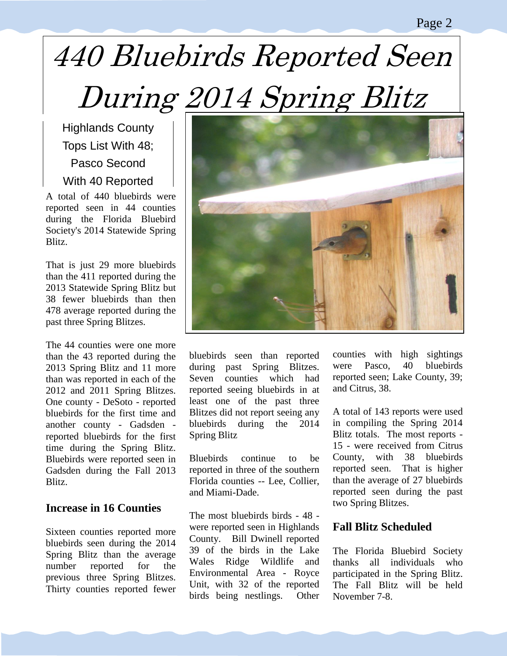#### Page 2

## 440 Bluebirds Reported Seen During 2014 Spring Blitz

Highlands County Tops List With 48; Pasco Second With 40 Reported

A total of 440 bluebirds were reported seen in 44 counties during the Florida Bluebird Society's 2014 Statewide Spring Blitz.

That is just 29 more bluebirds than the 411 reported during the 2013 Statewide Spring Blitz but 38 fewer bluebirds than then 478 average reported during the past three Spring Blitzes.

The 44 counties were one more than the 43 reported during the 2013 Spring Blitz and 11 more than was reported in each of the 2012 and 2011 Spring Blitzes. One county - DeSoto - reported bluebirds for the first time and another county - Gadsden reported bluebirds for the first time during the Spring Blitz. Bluebirds were reported seen in Gadsden during the Fall 2013 Blitz.

#### **Increase in 16 Counties**

Sixteen counties reported more bluebirds seen during the 2014 Spring Blitz than the average number reported for the previous three Spring Blitzes. Thirty counties reported fewer



bluebirds seen than reported during past Spring Blitzes. Seven counties which had reported seeing bluebirds in at least one of the past three Blitzes did not report seeing any bluebirds during the 2014 Spring Blitz

Bluebirds continue to be reported in three of the southern Florida counties -- Lee, Collier, and Miami-Dade.

The most bluebirds birds - 48 were reported seen in Highlands County. Bill Dwinell reported 39 of the birds in the Lake Wales Ridge Wildlife and Environmental Area - Royce Unit, with 32 of the reported birds being nestlings. Other counties with high sightings were Pasco, 40 bluebirds reported seen; Lake County, 39; and Citrus, 38.

A total of 143 reports were used in compiling the Spring 2014 Blitz totals. The most reports - 15 - were received from Citrus County, with 38 bluebirds reported seen. That is higher than the average of 27 bluebirds reported seen during the past two Spring Blitzes.

#### **Fall Blitz Scheduled**

The Florida Bluebird Society thanks all individuals who participated in the Spring Blitz. The Fall Blitz will be held November 7-8.